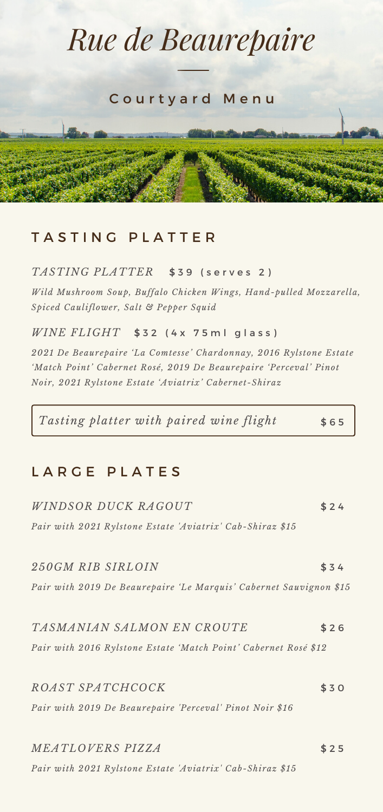# *Rue de Beaurepaire* Courty ard Menu

# TASTING PLATTER

## *TASTING PLATTER* \$ 3 9 ( s e r v e s 2 )

*Wild Mushroom Soup, Buffalo Chicken Wings, Hand-pulled Mozzarella, Spiced Cauliflower, Salt & Pepper Squid*

## $\emph{WINE FLIGHT}$  \$32 (4x 75 mlglass)

*2021 De Beaurepaire 'La Comtesse' Chardonnay, 2016 Rylstone Estate 'Match Point' Cabernet Rosé, 2019 De Beaurepaire 'Perceval' Pinot Noir, 2021 Rylstone Estate 'Aviatrix' Cabernet-Shiraz*

*Tasting platter with paired wine flight* \$ 6 5

# LARGE PLATES

| <i>WINDSOR DUCK RAGOUT</i>                                         | \$24 |
|--------------------------------------------------------------------|------|
| Pair with 2021 Rylstone Estate 'Aviatrix' Cab-Shiraz \$15          |      |
| 250GM RIB SIRLOIN                                                  | \$34 |
| Pair with 2019 De Beaurepaire 'Le Marquis' Cabernet Sauvignon \$15 |      |
| TASMANIAN SALMON EN CROUTE                                         | \$26 |
| Pair with 2016 Rylstone Estate 'Match Point' Cabernet Rosé \$12    |      |
| ROAST SPATCHCOCK                                                   | \$30 |
| Pair with 2019 De Beaurepaire 'Perceval' Pinot Noir \$16           |      |
| MEATLOVERS PIZZA                                                   | \$25 |
| Pair with 2021 Rylstone Estate 'Aviatrix' Cab-Shiraz \$15          |      |